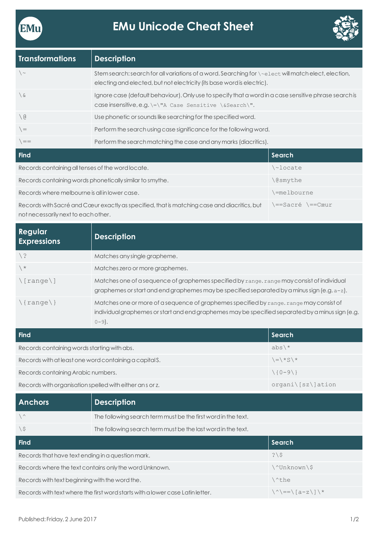



| <b>Transformations</b> | <b>Description</b>                                                                                                                                                                                 |
|------------------------|----------------------------------------------------------------------------------------------------------------------------------------------------------------------------------------------------|
| $\backslash \sim$      | Stem search: search for all variations of a word. Searching for $\setminus \text{select}$ will match elect, election,<br>electing and elected, but not electricity (its base word is electric).    |
| \&                     | Ignore case (default behaviour). Only use to specify that a word in a case sensitive phrase search is<br>case insensitive, e.g. $\left\vert -\right\vert$ ase Sensitive $\simeq$ Search $\prime$ . |
| $\setminus$ @          | Use phonetic or sounds like searching for the specified word.                                                                                                                                      |
| $=$                    | Perform the search using case significance for the following word.                                                                                                                                 |
| $=$                    | Perform the search matching the case and any marks (diacritics).                                                                                                                                   |
| <b>Find</b>            | Search                                                                                                                                                                                             |

| Records containing all tenses of the word locate.                                           | \~locate         |
|---------------------------------------------------------------------------------------------|------------------|
| Records containing words phonetically similar to smythe.                                    | <i>\</i> @smythe |
| Records where melbourne is all in lower case.                                               | /=melbourne      |
| Records with Sacré and Cœur exactly as specified, that is matching case and diacritics, but | \==Sacré \==Cœur |

not necessarily next to each other.

| Regular<br><b>Expressions</b> | <b>Description</b>                                                                                                                                                                                       |        |
|-------------------------------|----------------------------------------------------------------------------------------------------------------------------------------------------------------------------------------------------------|--------|
| / ¿                           | Matches any single grapheme.                                                                                                                                                                             |        |
| $\langle *$                   | Matches zero or more graphemes.                                                                                                                                                                          |        |
| $\langle$ [range $\langle$ ]  | Matches one of a sequence of graphemes specified by range. range may consist of individual<br>graphemes or start and end graphemes may be specified separated by a minus sign (e.g. $a-z$ ).             |        |
| $\langle \{range\} \rangle$   | Matches one or more of a sequence of graphemes specified by range. range may consist of<br>individual graphemes or start and end graphemes may be specified separated by a minus sign (e.g.<br>$0 - 9$ . |        |
| <b>Find</b>                   |                                                                                                                                                                                                          | Search |

| <b>Find</b>                                             | Search                                                                      |
|---------------------------------------------------------|-----------------------------------------------------------------------------|
| Records containing words starting with abs.             | $abs \$                                                                     |
| Records with at least one word containing a capital S.  | $\left\langle \frac{1}{2} \right\rangle$ * S $\left\langle \right\rangle$ * |
| Records containing Arabic numbers.                      | $(10-9)$                                                                    |
| Records with organisation spelled with either ans or z. | $organi\,[sz\,]ation$                                                       |

| <b>Anchors</b>                                                                | <b>Description</b>                                            |                                                                      |
|-------------------------------------------------------------------------------|---------------------------------------------------------------|----------------------------------------------------------------------|
| $\backslash$ ^                                                                | The following search term must be the first word in the text. |                                                                      |
| $\setminus$ \$                                                                | The following search term must be the last word in the text.  |                                                                      |
| <b>Find</b>                                                                   |                                                               | Search                                                               |
| Records that have text ending in a question mark.                             |                                                               | $?$ \\$                                                              |
| Records where the text contains only the word Unknown.                        |                                                               | \^Unknown\\$                                                         |
| Records with text beginning with the word the.                                |                                                               | ∖^the                                                                |
| Records with text where the first word starts with a lower case Latin letter. |                                                               | $\langle \hat{\ } \rangle = = \langle \hat{a} - z \rangle / \hat{a}$ |